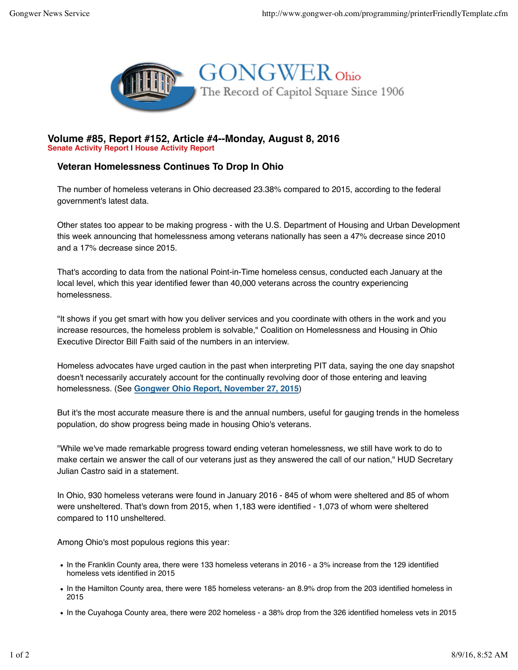

## **Volume #85, Report #152, Article #4--Monday, August 8, 2016 Senate Activity Report | House Activity Report**

## **Veteran Homelessness Continues To Drop In Ohio**

The number of homeless veterans in Ohio decreased 23.38% compared to 2015, according to the federal government's latest data.

Other states too appear to be making progress - with the U.S. Department of Housing and Urban Development this week announcing that homelessness among veterans nationally has seen a 47% decrease since 2010 and a 17% decrease since 2015.

That's according to data from the national Point-in-Time homeless census, conducted each January at the local level, which this year identified fewer than 40,000 veterans across the country experiencing homelessness.

"It shows if you get smart with how you deliver services and you coordinate with others in the work and you increase resources, the homeless problem is solvable," Coalition on Homelessness and Housing in Ohio Executive Director Bill Faith said of the numbers in an interview.

Homeless advocates have urged caution in the past when interpreting PIT data, saying the one day snapshot doesn't necessarily accurately account for the continually revolving door of those entering and leaving homelessness. (See **Gongwer Ohio Report, November 27, 2015**)

But it's the most accurate measure there is and the annual numbers, useful for gauging trends in the homeless population, do show progress being made in housing Ohio's veterans.

"While we've made remarkable progress toward ending veteran homelessness, we still have work to do to make certain we answer the call of our veterans just as they answered the call of our nation," HUD Secretary Julian Castro said in a statement.

In Ohio, 930 homeless veterans were found in January 2016 - 845 of whom were sheltered and 85 of whom were unsheltered. That's down from 2015, when 1,183 were identified - 1,073 of whom were sheltered compared to 110 unsheltered.

Among Ohio's most populous regions this year:

- In the Franklin County area, there were 133 homeless veterans in 2016 a 3% increase from the 129 identified homeless vets identified in 2015
- In the Hamilton County area, there were 185 homeless veterans- an 8.9% drop from the 203 identified homeless in 2015
- In the Cuyahoga County area, there were 202 homeless a 38% drop from the 326 identified homeless vets in 2015